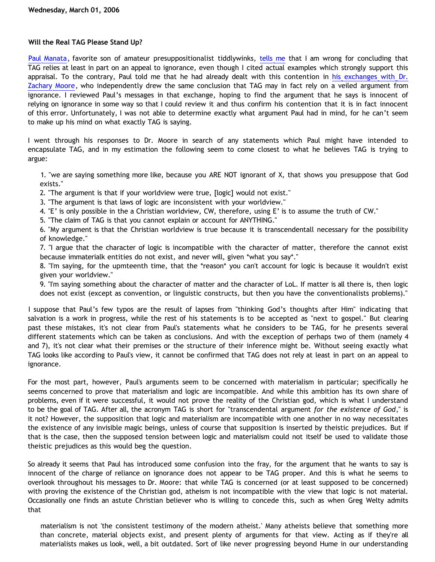# **Will the Real TAG Please Stand Up?**

[Paul Manata,](http://presstheantithesis.blogspot.com) favorite son of amateur presuppositionalist tiddlywinks, [tells me](http://bahnsenburner.blogspot.com/2006/02/presuppositionalism-and-argument-from.html) that I am wrong for concluding that TAG relies at least in part on an appeal to ignorance, even though I cited actual examples which strongly support this appraisal. To the contrary, Paul told me that he had already dealt with this contention in [his exchanges with Dr.](http://goosetheantithesis.blogspot.com/2006/02/tag-as-teleological-argument.html) [Zachary Moore](http://goosetheantithesis.blogspot.com/2006/02/tag-as-teleological-argument.html), who independently drew the same conclusion that TAG may in fact rely on a veiled argument from ignorance. I reviewed Paul's messages in that exchange, hoping to find the argument that he says is innocent of relying on ignorance in some way so that I could review it and thus confirm his contention that it is in fact innocent of this error. Unfortunately, I was not able to determine exactly what argument Paul had in mind, for he can't seem to make up his mind on what exactly TAG is saying.

I went through his responses to Dr. Moore in search of any statements which Paul might have intended to encapsulate TAG, and in my estimation the following seem to come closest to what he believes TAG is trying to argue:

1. "we are saying something more like, because you ARE NOT ignorant of X, that shows you presuppose that God exists."

2. "The argument is that if your worldview were true, [logic] would not exist."

3. "The argument is that laws of logic are inconsistent with your worldview."

4. "E' is only possible in the a Christian worldview, CW, therefore, using E' is to assume the truth of CW."

5. "The claim of TAG is that you cannot explain or account for ANYTHING."

6. "My argument is that the Christian worldview is true because it is transcendentall necessary for the possibility of knowledge."

7. "I argue that the character of logic is incompatible with the character of matter, therefore the cannot exist because immaterialk entities do not exist, and never will, given \*what you say\*."

8. "I'm saying, for the upmteenth time, that the \*reason\* you can't account for logic is because it wouldn't exist given your worldview."

9. "I'm saying something about the character of matter and the character of LoL. If matter is all there is, then logic does not exist (except as convention, or linguistic constructs, but then you have the conventionalists problems)."

I suppose that Paul's few typos are the result of lapses from "thinking God's thoughts after Him" indicating that salvation is a work in progress, while the rest of his statements is to be accepted as "next to gospel." But clearing past these mistakes, it's not clear from Paul's statements what he considers to be TAG, for he presents several different statements which can be taken as conclusions. And with the exception of perhaps two of them (namely 4 and 7), it's not clear what their premises or the structure of their inference might be. Without seeing exactly what TAG looks like according to Paul's view, it cannot be confirmed that TAG does not rely at least in part on an appeal to ignorance.

For the most part, however, Paul's arguments seem to be concerned with materialism in particular; specifically he seems concerned to prove that materialism and logic are incompatible. And while this ambition has its own share of problems, even if it were successful, it would not prove the reality of the Christian god, which is what I understand to be the goal of TAG. After all, the acronym TAG is short for "transcendental argument *for the existence of God*," is it not? However, the supposition that logic and materialism are incompatible with one another in no way necessitates the existence of any invisible magic beings, unless of course that supposition is inserted by theistic prejudices. But if that is the case, then the supposed tension between logic and materialism could not itself be used to validate those theistic prejudices as this would beg the question.

So already it seems that Paul has introduced some confusion into the fray, for the argument that he wants to say is innocent of the charge of reliance on ignorance does not appear to be TAG proper. And this is what he seems to overlook throughout his messages to Dr. Moore: that while TAG is concerned (or at least supposed to be concerned) with proving the existence of the Christian god, atheism is not incompatible with the view that logic is not material. Occasionally one finds an astute Christian believer who is willing to concede this, such as when Greg Welty admits that

materialism is not 'the consistent testimony of the modern atheist.' Many atheists believe that something more than concrete, material objects exist, and present plenty of arguments for that view. Acting as if they're all materialists makes us look, well, a bit outdated. Sort of like never progressing beyond Hume in our understanding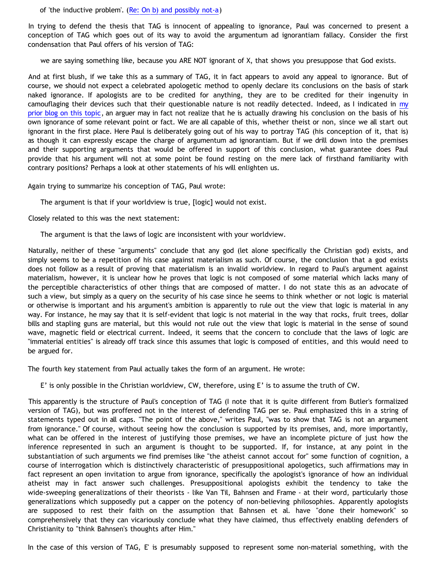of 'the inductive problem'. ([Re: On b\) and possibly not-a\)](http://www.ccir.ed.ac.uk/~jad/vantil-list/archive-Sep-1999/msg00021.html)

In trying to defend the thesis that TAG is innocent of appealing to ignorance, Paul was concerned to present a conception of TAG which goes out of its way to avoid the argumentum ad ignorantiam fallacy. Consider the first condensation that Paul offers of his version of TAG:

we are saying something like, because you ARE NOT ignorant of X, that shows you presuppose that God exists.

And at first blush, if we take this as a summary of TAG, it in fact appears to avoid any appeal to ignorance. But of course, we should not expect a celebrated apologetic method to openly declare its conclusions on the basis of stark naked ignorance. If apologists are to be credited for anything, they are to be credited for their ingenuity in camouflaging their devices such that their questionable nature is not readily detected. Indeed, as I indicated in [my](http://bahnsenburner.blogspot.com/2006/02/presuppositionalism-and-argument-from.html) [prior blog on this topic,](http://bahnsenburner.blogspot.com/2006/02/presuppositionalism-and-argument-from.html) an arguer may in fact not realize that he is actually drawing his conclusion on the basis of his own ignorance of some relevant point or fact. We are all capable of this, whether theist or non, since we all start out ignorant in the first place. Here Paul is deliberately going out of his way to portray TAG (his conception of it, that is) as though it can expressly escape the charge of argumentum ad ignorantiam. But if we drill down into the premises and their supporting arguments that would be offered in support of this conclusion, what guarantee does Paul provide that his argument will not at some point be found resting on the mere lack of firsthand familiarity with contrary positions? Perhaps a look at other statements of his will enlighten us.

Again trying to summarize his conception of TAG, Paul wrote:

The argument is that if your worldview is true, [logic] would not exist.

Closely related to this was the next statement:

The argument is that the laws of logic are inconsistent with your worldview.

Naturally, neither of these "arguments" conclude that any god (let alone specifically the Christian god) exists, and simply seems to be a repetition of his case against materialism as such. Of course, the conclusion that a god exists does not follow as a result of proving that materialism is an invalid worldview. In regard to Paul's argument against materialism, however, it is unclear how he proves that logic is not composed of some material which lacks many of the perceptible characteristics of other things that are composed of matter. I do not state this as an advocate of such a view, but simply as a query on the security of his case since he seems to think whether or not logic is material or otherwise is important and his argument's ambition is apparently to rule out the view that logic is material in any way. For instance, he may say that it is self-evident that logic is not material in the way that rocks, fruit trees, dollar bills and stapling guns are material, but this would not rule out the view that logic is material in the sense of sound wave, magnetic field or electrical current. Indeed, it seems that the concern to conclude that the laws of logic are "immaterial entities" is already off track since this assumes that logic is composed of entities, and this would need to be argued for.

The fourth key statement from Paul actually takes the form of an argument. He wrote:

E' is only possible in the Christian worldview, CW, therefore, using E' is to assume the truth of CW.

This apparently is the structure of Paul's conception of TAG (I note that it is quite different from Butler's formalized version of TAG), but was proffered not in the interest of defending TAG per se. Paul emphasized this in a string of statements typed out in all caps. "The point of the above," writes Paul, "was to show that TAG is not an argument from ignorance." Of course, without seeing how the conclusion is supported by its premises, and, more importantly, what can be offered in the interest of justifying those premises, we have an incomplete picture of just how the inference represented in such an argument is thought to be supported. If, for instance, at any point in the substantiation of such arguments we find premises like "the atheist cannot accout for" some function of cognition, a course of interrogation which is distinctively characteristic of presuppositional apologetics, such affirmations may in fact represent an open invitation to argue from ignorance, specifically the apologist's ignorance of how an individual atheist may in fact answer such challenges. Presuppositional apologists exhibit the tendency to take the wide-sweeping generalizations of their theorists - like Van Til, Bahnsen and Frame - at their word, particularly those generalizations which supposedly put a capper on the potency of non-believing philosophies. Apparently apologists are supposed to rest their faith on the assumption that Bahnsen et al. have "done their homework" so comprehensively that they can vicariously conclude what they have claimed, thus effectively enabling defenders of Christianity to "think Bahnsen's thoughts after Him."

In the case of this version of TAG, E' is presumably supposed to represent some non-material something, with the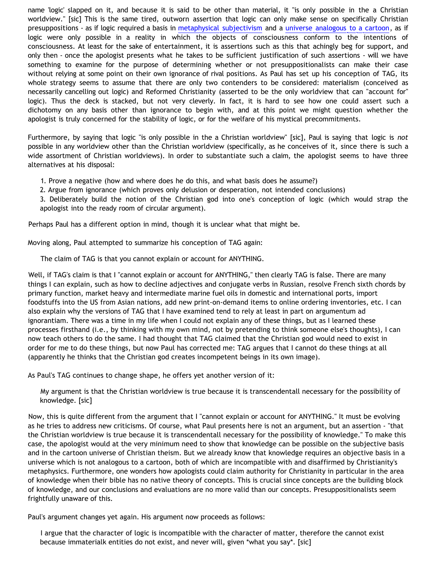name 'logic' slapped on it, and because it is said to be other than material, it "is only possible in the a Christian worldview." [sic] This is the same tired, outworn assertion that logic can only make sense on specifically Christian presuppositions - as if logic required a basis in [metaphysical subjectivism](http://www.geocities.com/katholon/DBvPM1005.htm) and a [universe analogous to a cartoon,](http://bahnsenburner.blogspot.com/2005/03/cartoon-universe-of-theism.html) as if logic were only possible in a reality in which the objects of consciousness conform to the intentions of consciousness. At least for the sake of entertainment, it is assertions such as this that achingly beg for support, and only then - once the apologist presents what he takes to be sufficient justification of such assertions - will we have something to examine for the purpose of determining whether or not presuppositionalists can make their case without relying at some point on their own ignorance of rival positions. As Paul has set up his conception of TAG, its whole strategy seems to assume that there are only two contenders to be considered: materialism (conceived as necessarily cancelling out logic) and Reformed Christianity (asserted to be the only worldview that can "account for" logic). Thus the deck is stacked, but not very cleverly. In fact, it is hard to see how one could assert such a dichotomy on any basis other than ignorance to begin with, and at this point we might question whether the apologist is truly concerned for the stability of logic, or for the welfare of his mystical precommitments.

Furthermore, by saying that logic "is only possible in the a Christian worldview" [sic], Paul is saying that logic is *not* possible in any worldview other than the Christian worldview (specifically, as he conceives of it, since there is such a wide assortment of Christian worldviews). In order to substantiate such a claim, the apologist seems to have three alternatives at his disposal:

- 1. Prove a negative (how and where does he do this, and what basis does he assume?)
- 2. Argue from ignorance (which proves only delusion or desperation, not intended conclusions)

3. Deliberately build the notion of the Christian god into one's conception of logic (which would strap the apologist into the ready room of circular argument).

Perhaps Paul has a different option in mind, though it is unclear what that might be.

Moving along, Paul attempted to summarize his conception of TAG again:

The claim of TAG is that you cannot explain or account for ANYTHING.

Well, if TAG's claim is that I "cannot explain or account for ANYTHING," then clearly TAG is false. There are many things I can explain, such as how to decline adjectives and conjugate verbs in Russian, resolve French sixth chords by primary function, market heavy and intermediate marine fuel oils in domestic and international ports, import foodstuffs into the US from Asian nations, add new print-on-demand items to online ordering inventories, etc. I can also explain why the versions of TAG that I have examined tend to rely at least in part on argumentum ad ignorantiam. There was a time in my life when I could not explain any of these things, but as I learned these processes firsthand (i.e., by thinking with my own mind, not by pretending to think someone else's thoughts), I can now teach others to do the same. I had thought that TAG claimed that the Christian god would need to exist in order for me to do these things, but now Paul has corrected me: TAG argues that I cannot do these things at all (apparently he thinks that the Christian god creates incompetent beings in its own image).

As Paul's TAG continues to change shape, he offers yet another version of it:

My argument is that the Christian worldview is true because it is transcendentall necessary for the possibility of knowledge. [sic]

Now, this is quite different from the argument that I "cannot explain or account for ANYTHING." It must be evolving as he tries to address new criticisms. Of course, what Paul presents here is not an argument, but an assertion - "that the Christian worldview is true because it is transcendentall necessary for the possibility of knowledge." To make this case, the apologist would at the very minimum need to show that knowledge can be possible on the subjective basis and in the cartoon universe of Christian theism. But we already know that knowledge requires an objective basis in a universe which is not analogous to a cartoon, both of which are incompatible with and disaffirmed by Christianity's metaphysics. Furthermore, one wonders how apologists could claim authority for Christianity in particular in the area of knowledge when their bible has no native theory of concepts. This is crucial since concepts are the building block of knowledge, and our conclusions and evaluations are no more valid than our concepts. Presuppositionalists seem frightfully unaware of this.

Paul's argument changes yet again. His argument now proceeds as follows:

I argue that the character of logic is incompatible with the character of matter, therefore the cannot exist because immaterialk entities do not exist, and never will, given \*what you say\*. [sic]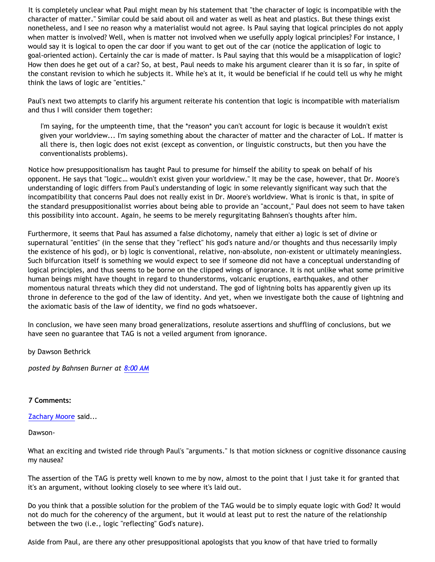It is completely unclear what Paul might mean by his statement that "the character of logic is incompatible with the character of matter." Similar could be said about oil and water as well as heat and plastics. But these things exist nonetheless, and I see no reason why a materialist would not agree. Is Paul saying that logical principles do not apply when matter is involved? Well, when is matter not involved when we usefully apply logical principles? For instance, I would say it is logical to open the car door if you want to get out of the car (notice the application of logic to goal-oriented action). Certainly the car is made of matter. Is Paul saying that this would be a misapplication of logic? How then does he get out of a car? So, at best, Paul needs to make his argument clearer than it is so far, in spite of the constant revision to which he subjects it. While he's at it, it would be beneficial if he could tell us why he might think the laws of logic are "entities."

Paul's next two attempts to clarify his argument reiterate his contention that logic is incompatible with materialism and thus I will consider them together:

I'm saying, for the umpteenth time, that the \*reason\* you can't account for logic is because it wouldn't exist given your worldview... I'm saying something about the character of matter and the character of LoL. If matter is all there is, then logic does not exist (except as convention, or linguistic constructs, but then you have the conventionalists problems).

Notice how presuppositionalism has taught Paul to presume for himself the ability to speak on behalf of his opponent. He says that "logic… wouldn't exist given your worldview." It may be the case, however, that Dr. Moore's understanding of logic differs from Paul's understanding of logic in some relevantly significant way such that the incompatibility that concerns Paul does not really exist in Dr. Moore's worldview. What is ironic is that, in spite of the standard presuppositionalist worries about being able to provide an "account," Paul does not seem to have taken this possibility into account. Again, he seems to be merely regurgitating Bahnsen's thoughts after him.

Furthermore, it seems that Paul has assumed a false dichotomy, namely that either a) logic is set of divine or supernatural "entities" (in the sense that they "reflect" his god's nature and/or thoughts and thus necessarily imply the existence of his god), or b) logic is conventional, relative, non-absolute, non-existent or ultimately meaningless. Such bifurcation itself is something we would expect to see if someone did not have a conceptual understanding of logical principles, and thus seems to be borne on the clipped wings of ignorance. It is not unlike what some primitive human beings might have thought in regard to thunderstorms, volcanic eruptions, earthquakes, and other momentous natural threats which they did not understand. The god of lightning bolts has apparently given up its throne in deference to the god of the law of identity. And yet, when we investigate both the cause of lightning and the axiomatic basis of the law of identity, we find no gods whatsoever.

In conclusion, we have seen many broad generalizations, resolute assertions and shuffling of conclusions, but we have seen no guarantee that TAG is not a veiled argument from ignorance.

by Dawson Bethrick

*posted by Bahnsen Burner at [8:00 AM](http://bahnsenburner.blogspot.com/2006/03/will-real-tag-please-stand-up.html)*

# **7 Comments:**

[Zachary Moore](http://www.blogger.com/profile/7564330) said...

Dawson-

What an exciting and twisted ride through Paul's "arguments." Is that motion sickness or cognitive dissonance causing my nausea?

The assertion of the TAG is pretty well known to me by now, almost to the point that I just take it for granted that it's an argument, without looking closely to see where it's laid out.

Do you think that a possible solution for the problem of the TAG would be to simply equate logic with God? It would not do much for the coherency of the argument, but it would at least put to rest the nature of the relationship between the two (i.e., logic "reflecting" God's nature).

Aside from Paul, are there any other presuppositional apologists that you know of that have tried to formally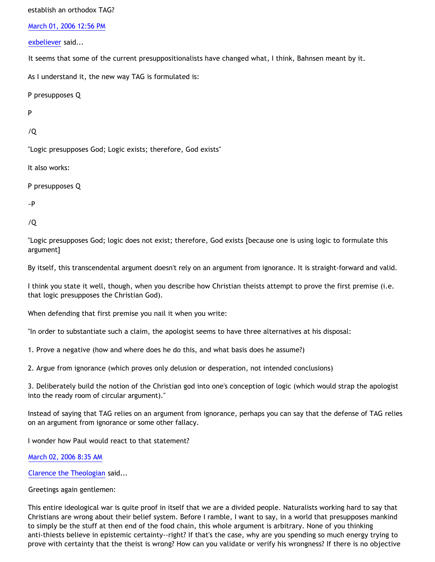establish an orthodox TAG?

[March 01, 2006 12:56 PM](http://bahnsenburner.blogspot.com/2006/03/114124659296537824)

[exbeliever](http://www.blogger.com/profile/18211139) said...

It seems that some of the current presuppositionalists have changed what, I think, Bahnsen meant by it.

As I understand it, the new way TAG is formulated is:

P presupposes Q

P

/Q

"Logic presupposes God; Logic exists; therefore, God exists"

It also works:

P presupposes Q

~P

/Q

"Logic presupposes God; logic does not exist; therefore, God exists [because one is using logic to formulate this argument]

By itself, this transcendental argument doesn't rely on an argument from ignorance. It is straight-forward and valid.

I think you state it well, though, when you describe how Christian theists attempt to prove the first premise (i.e. that logic presupposes the Christian God).

When defending that first premise you nail it when you write:

"In order to substantiate such a claim, the apologist seems to have three alternatives at his disposal:

1. Prove a negative (how and where does he do this, and what basis does he assume?)

2. Argue from ignorance (which proves only delusion or desperation, not intended conclusions)

3. Deliberately build the notion of the Christian god into one's conception of logic (which would strap the apologist into the ready room of circular argument)."

Instead of saying that TAG relies on an argument from ignorance, perhaps you can say that the defense of TAG relies on an argument from ignorance or some other fallacy.

I wonder how Paul would react to that statement?

[March 02, 2006 8:35 AM](http://bahnsenburner.blogspot.com/2006/03/114131734580223457)

[Clarence the Theologian](http://www.blogger.com/profile/8258058) said...

Greetings again gentlemen:

This entire ideological war is quite proof in itself that we are a divided people. Naturalists working hard to say that Christians are wrong about their belief system. Before I ramble, I want to say, in a world that presupposes mankind to simply be the stuff at then end of the food chain, this whole argument is arbitrary. None of you thinking anti-thiests believe in epistemic certainty--right? If that's the case, why are you spending so much energy trying to prove with certainty that the theist is wrong? How can you validate or verify his wrongness? If there is no objective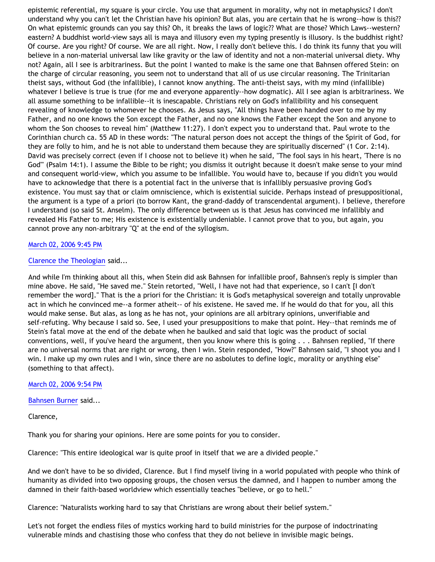epistemic referential, my square is your circle. You use that argument in morality, why not in metaphysics? I don't understand why you can't let the Christian have his opinion? But alas, you are certain that he is wrong--how is this?? On what epistemic grounds can you say this? Oh, it breaks the laws of logic?? What are those? Which Laws--western? eastern? A buddhist world-view says all is maya and illusory even my typing presently is illusory. Is the buddhist right? Of course. Are you right? Of course. We are all right. Now, I really don't believe this. I do think its funny that you will believe in a non-material universal law like gravity or the law of identity and not a non-material universal diety. Why not? Again, all I see is arbitrariness. But the point I wanted to make is the same one that Bahnsen offered Stein: on the charge of circular reasoning, you seem not to understand that all of us use circular reasoning. The Trinitarian theist says, without God (the infallible), I cannot know anything. The anti-theist says, with my mind (infallible) whatever I believe is true is true (for me and everyone apparently--how dogmatic). All I see agian is arbitrariness. We all assume something to be infallible--it is inescapable. Christians rely on God's infallibility and his consequent revealing of knowledge to whomever he chooses. As Jesus says, "All things have been handed over to me by my Father, and no one knows the Son except the Father, and no one knows the Father except the Son and anyone to whom the Son chooses to reveal him" (Matthew 11:27). I don't expect you to understand that. Paul wrote to the Corinthian church ca. 55 AD in these words: "The natural person does not accept the things of the Spirit of God, for they are folly to him, and he is not able to understand them because they are spiritually discerned" (1 Cor. 2:14). David was precisely correct (even if I choose not to believe it) when he said, "The fool says in his heart, 'There is no God'" (Psalm 14:1). I assume the Bible to be right; you dismiss it outright because it doesn't make sense to your mind and consequent world-view, which you assume to be infallible. You would have to, because if you didn't you would have to acknowledge that there is a potential fact in the universe that is infallibly persuasive proving God's existence. You must say that or claim omniscience, which is existential suicide. Perhaps instead of presuppositional, the argument is a type of a priori (to borrow Kant, the grand-daddy of transcendental argument). I believe, therefore I understand (so said St. Anselm). The only difference between us is that Jesus has convinced me infallibly and revealed His Father to me; His existence is existentially undeniable. I cannot prove that to you, but again, you cannot prove any non-arbitrary "Q" at the end of the syllogism.

# [March 02, 2006 9:45 PM](http://bahnsenburner.blogspot.com/2006/03/114136470201046011)

### [Clarence the Theologian](http://www.blogger.com/profile/8258058) said...

And while I'm thinking about all this, when Stein did ask Bahnsen for infallible proof, Bahnsen's reply is simpler than mine above. He said, "He saved me." Stein retorted, "Well, I have not had that experience, so I can't [I don't remember the word]." That is the a priori for the Christian: it is God's metaphysical sovereign and totally unprovable act in which he convinced me--a former atheit-- of his existene. He saved me. If he would do that for you, all this would make sense. But alas, as long as he has not, your opinions are all arbitrary opinions, unverifiable and self-refuting. Why because I said so. See, I used your presuppositions to make that point. Hey--that reminds me of Stein's fatal move at the end of the debate when he baulked and said that logic was the product of social conventions, well, if you've heard the argument, then you know where this is going . . . Bahnsen replied, "If there are no universal norms that are right or wrong, then I win. Stein responded, "How?" Bahnsen said, "I shoot you and I win. I make up my own rules and I win, since there are no asbolutes to define logic, morality or anything else" (something to that affect).

### [March 02, 2006 9:54 PM](http://bahnsenburner.blogspot.com/2006/03/114136525595034399)

[Bahnsen Burner](http://www.blogger.com/profile/7766918) said...

Clarence,

Thank you for sharing your opinions. Here are some points for you to consider.

Clarence: "This entire ideological war is quite proof in itself that we are a divided people."

And we don't have to be so divided, Clarence. But I find myself living in a world populated with people who think of humanity as divided into two opposing groups, the chosen versus the damned, and I happen to number among the damned in their faith-based worldview which essentially teaches "believe, or go to hell."

Clarence: "Naturalists working hard to say that Christians are wrong about their belief system."

Let's not forget the endless files of mystics working hard to build ministries for the purpose of indoctrinating vulnerable minds and chastising those who confess that they do not believe in invisible magic beings.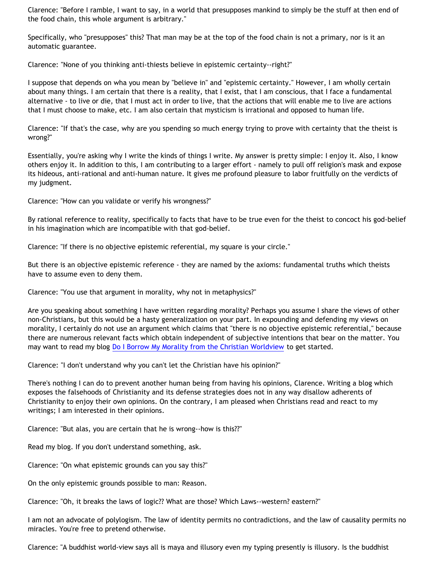Clarence: "Before I ramble, I want to say, in a world that presupposes mankind to simply be the stuff at then end of the food chain, this whole argument is arbitrary."

Specifically, who "presupposes" this? That man may be at the top of the food chain is not a primary, nor is it an automatic guarantee.

Clarence: "None of you thinking anti-thiests believe in epistemic certainty--right?"

I suppose that depends on wha you mean by "believe in" and "epistemic certainty." However, I am wholly certain about many things. I am certain that there is a reality, that I exist, that I am conscious, that I face a fundamental alternative - to live or die, that I must act in order to live, that the actions that will enable me to live are actions that I must choose to make, etc. I am also certain that mysticism is irrational and opposed to human life.

Clarence: "If that's the case, why are you spending so much energy trying to prove with certainty that the theist is wrong?"

Essentially, you're asking why I write the kinds of things I write. My answer is pretty simple: I enjoy it. Also, I know others enjoy it. In addition to this, I am contributing to a larger effort - namely to pull off religion's mask and expose its hideous, anti-rational and anti-human nature. It gives me profound pleasure to labor fruitfully on the verdicts of my judgment.

Clarence: "How can you validate or verify his wrongness?"

By rational reference to reality, specifically to facts that have to be true even for the theist to concoct his god-belief in his imagination which are incompatible with that god-belief.

Clarence: "If there is no objective epistemic referential, my square is your circle."

But there is an objective epistemic reference - they are named by the axioms: fundamental truths which theists have to assume even to deny them.

Clarence: "You use that argument in morality, why not in metaphysics?"

Are you speaking about something I have written regarding morality? Perhaps you assume I share the views of other non-Christians, but this would be a hasty generalization on your part. In expounding and defending my views on morality, I certainly do not use an argument which claims that "there is no objective epistemic referential," because there are numerous relevant facts which obtain independent of subjective intentions that bear on the matter. You may want to read my blog [Do I Borrow My Morality from the Christian Worldview](http://bahnsenburner.blogspot.com/2005/04/do-i-borrow-my-morality-from-christian.html) to get started.

Clarence: "I don't understand why you can't let the Christian have his opinion?"

There's nothing I can do to prevent another human being from having his opinions, Clarence. Writing a blog which exposes the falsehoods of Christianity and its defense strategies does not in any way disallow adherents of Christianity to enjoy their own opinions. On the contrary, I am pleased when Christians read and react to my writings; I am interested in their opinions.

Clarence: "But alas, you are certain that he is wrong--how is this??"

Read my blog. If you don't understand something, ask.

Clarence: "On what epistemic grounds can you say this?"

On the only epistemic grounds possible to man: Reason.

Clarence: "Oh, it breaks the laws of logic?? What are those? Which Laws--western? eastern?"

I am not an advocate of polylogism. The law of identity permits no contradictions, and the law of causality permits no miracles. You're free to pretend otherwise.

Clarence: "A buddhist world-view says all is maya and illusory even my typing presently is illusory. Is the buddhist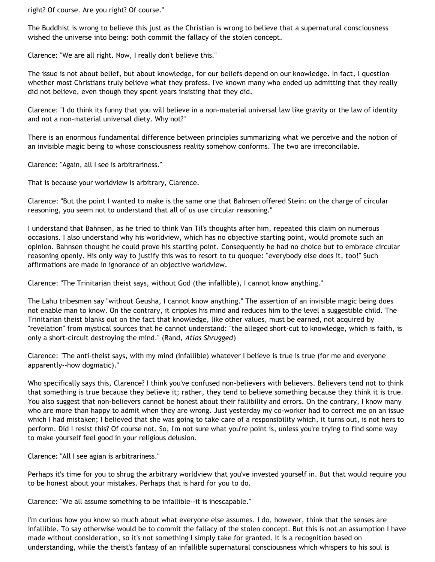right? Of course. Are you right? Of course."

The Buddhist is wrong to believe this just as the Christian is wrong to believe that a supernatural consciousness wished the universe into being: both commit the fallacy of the stolen concept.

Clarence: "We are all right. Now, I really don't believe this."

The issue is not about belief, but about knowledge, for our beliefs depend on our knowledge. In fact, I question whether most Christians truly believe what they profess. I've known many who ended up admitting that they really did not believe, even though they spent years insisting that they did.

Clarence: "I do think its funny that you will believe in a non-material universal law like gravity or the law of identity and not a non-material universal diety. Why not?"

There is an enormous fundamental difference between principles summarizing what we perceive and the notion of an invisible magic being to whose consciousness reality somehow conforms. The two are irreconcilable.

Clarence: "Again, all I see is arbitrariness."

That is because your worldview is arbitrary, Clarence.

Clarence: "But the point I wanted to make is the same one that Bahnsen offered Stein: on the charge of circular reasoning, you seem not to understand that all of us use circular reasoning."

I understand that Bahnsen, as he tried to think Van Til's thoughts after him, repeated this claim on numerous occasions. I also understand why his worldview, which has no objective starting point, would promote such an opinion. Bahnsen thought he could prove his starting point. Consequently he had no choice but to embrace circular reasoning openly. His only way to justify this was to resort to tu quoque: "everybody else does it, too!" Such affirmations are made in ignorance of an objective worldview.

Clarence: "The Trinitarian theist says, without God (the infallible), I cannot know anything."

The Lahu tribesmen say "without Geusha, I cannot know anything." The assertion of an invisible magic being does not enable man to know. On the contrary, it cripples his mind and reduces him to the level a suggestible child. The Trinitarian theist blanks out on the fact that knowledge, like other values, must be earned, not acquired by "revelation" from mystical sources that he cannot understand: "the alleged short-cut to knowledge, which is faith, is only a short-circuit destroying the mind." (Rand, *Atlas Shrugged*)

Clarence: "The anti-theist says, with my mind (infallible) whatever I believe is true is true (for me and everyone apparently--how dogmatic)."

Who specifically says this, Clarence? I think you've confused non-believers with believers. Believers tend not to think that something is true because they believe it; rather, they tend to believe something because they think it is true. You also suggest that non-believers cannot be honest about their fallibility and errors. On the contrary, I know many who are more than happy to admit when they are wrong. Just yesterday my co-worker had to correct me on an issue which I had mistaken; I believed that she was going to take care of a responsibility which, it turns out, is not hers to perform. Did I resist this? Of course not. So, I'm not sure what you're point is, unless you're trying to find some way to make yourself feel good in your religious delusion.

Clarence: "All I see agian is arbitrariness."

Perhaps it's time for you to shrug the arbitrary worldview that you've invested yourself in. But that would require you to be honest about your mistakes. Perhaps that is hard for you to do.

Clarence: "We all assume something to be infallible--it is inescapable."

I'm curious how you know so much about what everyone else assumes. I do, however, think that the senses are infallible. To say otherwise would be to commit the fallacy of the stolen concept. But this is not an assumption I have made without consideration, so it's not something I simply take for granted. It is a recognition based on understanding, while the theist's fantasy of an infallible supernatural consciousness which whispers to his soul is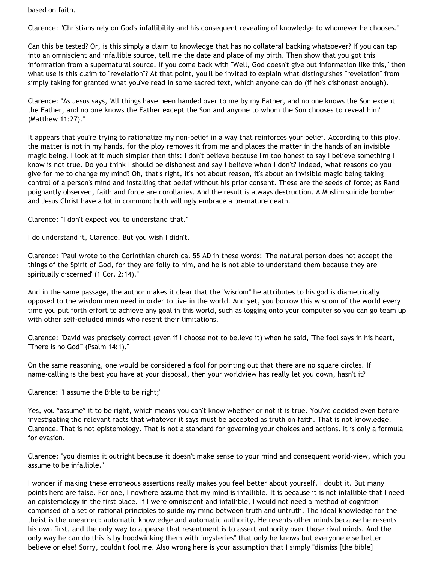based on faith.

Clarence: "Christians rely on God's infallibility and his consequent revealing of knowledge to whomever he chooses."

Can this be tested? Or, is this simply a claim to knowledge that has no collateral backing whatsoever? If you can tap into an omniscient and infallible source, tell me the date and place of my birth. Then show that you got this information from a supernatural source. If you come back with "Well, God doesn't give out information like this," then what use is this claim to "revelation"? At that point, you'll be invited to explain what distinguishes "revelation" from simply taking for granted what you've read in some sacred text, which anyone can do (if he's dishonest enough).

Clarence: "As Jesus says, 'All things have been handed over to me by my Father, and no one knows the Son except the Father, and no one knows the Father except the Son and anyone to whom the Son chooses to reveal him' (Matthew 11:27)."

It appears that you're trying to rationalize my non-belief in a way that reinforces your belief. According to this ploy, the matter is not in my hands, for the ploy removes it from me and places the matter in the hands of an invisible magic being. I look at it much simpler than this: I don't believe because I'm too honest to say I believe something I know is not true. Do you think I should be dishonest and say I believe when I don't? Indeed, what reasons do you give for me to change my mind? Oh, that's right, it's not about reason, it's about an invisible magic being taking control of a person's mind and installing that belief without his prior consent. These are the seeds of force; as Rand poignantly observed, faith and force are corollaries. And the result is always destruction. A Muslim suicide bomber and Jesus Christ have a lot in common: both willingly embrace a premature death.

Clarence: "I don't expect you to understand that."

I do understand it, Clarence. But you wish I didn't.

Clarence: "Paul wrote to the Corinthian church ca. 55 AD in these words: 'The natural person does not accept the things of the Spirit of God, for they are folly to him, and he is not able to understand them because they are spiritually discerned' (1 Cor. 2:14)."

And in the same passage, the author makes it clear that the "wisdom" he attributes to his god is diametrically opposed to the wisdom men need in order to live in the world. And yet, you borrow this wisdom of the world every time you put forth effort to achieve any goal in this world, such as logging onto your computer so you can go team up with other self-deluded minds who resent their limitations.

Clarence: "David was precisely correct (even if I choose not to believe it) when he said, 'The fool says in his heart, "There is no God'" (Psalm 14:1)."

On the same reasoning, one would be considered a fool for pointing out that there are no square circles. If name-calling is the best you have at your disposal, then your worldview has really let you down, hasn't it?

Clarence: "I assume the Bible to be right;"

Yes, you \*assume\* it to be right, which means you can't know whether or not it is true. You've decided even before investigating the relevant facts that whatever it says must be accepted as truth on faith. That is not knowledge, Clarence. That is not epistemology. That is not a standard for governing your choices and actions. It is only a formula for evasion.

Clarence: "you dismiss it outright because it doesn't make sense to your mind and consequent world-view, which you assume to be infallible."

I wonder if making these erroneous assertions really makes you feel better about yourself. I doubt it. But many points here are false. For one, I nowhere assume that my mind is infallible. It is because it is not infallible that I need an epistemology in the first place. If I were omniscient and infallible, I would not need a method of cognition comprised of a set of rational principles to guide my mind between truth and untruth. The ideal knowledge for the theist is the unearned: automatic knowledge and automatic authority. He resents other minds because he resents his own first, and the only way to appease that resentment is to assert authority over those rival minds. And the only way he can do this is by hoodwinking them with "mysteries" that only he knows but everyone else better believe or else! Sorry, couldn't fool me. Also wrong here is your assumption that I simply "dismiss [the bible]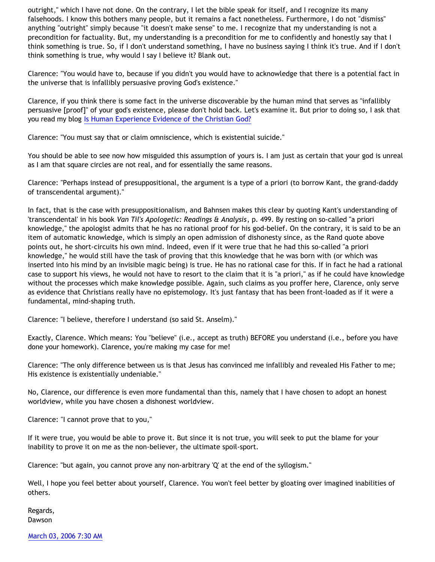outright," which I have not done. On the contrary, I let the bible speak for itself, and I recognize its many falsehoods. I know this bothers many people, but it remains a fact nonetheless. Furthermore, I do not "dismiss" anything "outright" simply because "it doesn't make sense" to me. I recognize that my understanding is not a precondition for factuality. But, my understanding is a precondition for me to confidently and honestly say that I think something is true. So, if I don't understand something, I have no business saying I think it's true. And if I don't think something is true, why would I say I believe it? Blank out.

Clarence: "You would have to, because if you didn't you would have to acknowledge that there is a potential fact in the universe that is infallibly persuasive proving God's existence."

Clarence, if you think there is some fact in the universe discoverable by the human mind that serves as "infallibly persuasive [proof]" of your god's existence, please don't hold back. Let's examine it. But prior to doing so, I ask that you read my blog [Is Human Experience Evidence of the Christian God?](http://bahnsenburner.blogspot.com/2005/06/is-human-experience-evidence-of.html)

Clarence: "You must say that or claim omniscience, which is existential suicide."

You should be able to see now how misguided this assumption of yours is. I am just as certain that your god is unreal as I am that square circles are not real, and for essentially the same reasons.

Clarence: "Perhaps instead of presuppositional, the argument is a type of a priori (to borrow Kant, the grand-daddy of transcendental argument)."

In fact, that is the case with presuppositionalism, and Bahnsen makes this clear by quoting Kant's understanding of 'transcendental' in his book *Van Til's Apologetic: Readings & Analysis*, p. 499. By resting on so-called "a priori knowledge," the apologist admits that he has no rational proof for his god-belief. On the contrary, it is said to be an item of automatic knowledge, which is simply an open admission of dishonesty since, as the Rand quote above points out, he short-circuits his own mind. Indeed, even if it were true that he had this so-called "a priori knowledge," he would still have the task of proving that this knowledge that he was born with (or which was inserted into his mind by an invisible magic being) is true. He has no rational case for this. If in fact he had a rational case to support his views, he would not have to resort to the claim that it is "a priori," as if he could have knowledge without the processes which make knowledge possible. Again, such claims as you proffer here, Clarence, only serve as evidence that Christians really have no epistemology. It's just fantasy that has been front-loaded as if it were a fundamental, mind-shaping truth.

Clarence: "I believe, therefore I understand (so said St. Anselm)."

Exactly, Clarence. Which means: You "believe" (i.e., accept as truth) BEFORE you understand (i.e., before you have done your homework). Clarence, you're making my case for me!

Clarence: "The only difference between us is that Jesus has convinced me infallibly and revealed His Father to me; His existence is existentially undeniable."

No, Clarence, our difference is even more fundamental than this, namely that I have chosen to adopt an honest worldview, while you have chosen a dishonest worldview.

Clarence: "I cannot prove that to you,"

If it were true, you would be able to prove it. But since it is not true, you will seek to put the blame for your inability to prove it on me as the non-believer, the ultimate spoil-sport.

Clarence: "but again, you cannot prove any non-arbitrary 'Q' at the end of the syllogism."

Well, I hope you feel better about yourself, Clarence. You won't feel better by gloating over imagined inabilities of others.

Regards, Dawson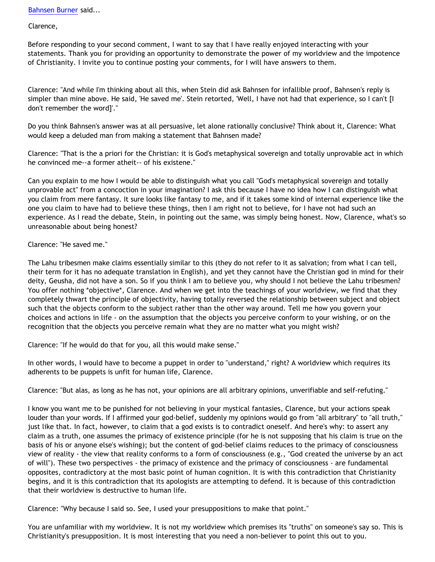[Bahnsen Burner](http://www.blogger.com/profile/7766918) said...

Clarence,

Before responding to your second comment, I want to say that I have really enjoyed interacting with your statements. Thank you for providing an opportunity to demonstrate the power of my worldview and the impotence of Christianity. I invite you to continue posting your comments, for I will have answers to them.

Clarence: "And while I'm thinking about all this, when Stein did ask Bahnsen for infallible proof, Bahnsen's reply is simpler than mine above. He said, 'He saved me'. Stein retorted, 'Well, I have not had that experience, so I can't [I don't remember the word]'."

Do you think Bahnsen's answer was at all persuasive, let alone rationally conclusive? Think about it, Clarence: What would keep a deluded man from making a statement that Bahnsen made?

Clarence: "That is the a priori for the Christian: it is God's metaphysical sovereign and totally unprovable act in which he convinced me--a former atheit-- of his existene."

Can you explain to me how I would be able to distinguish what you call "God's metaphysical sovereign and totally unprovable act" from a concoction in your imagination? I ask this because I have no idea how I can distinguish what you claim from mere fantasy. It sure looks like fantasy to me, and if it takes some kind of internal experience like the one you claim to have had to believe these things, then I am right not to believe, for I have not had such an experience. As I read the debate, Stein, in pointing out the same, was simply being honest. Now, Clarence, what's so unreasonable about being honest?

Clarence: "He saved me."

The Lahu tribesmen make claims essentially similar to this (they do not refer to it as salvation; from what I can tell, their term for it has no adequate translation in English), and yet they cannot have the Christian god in mind for their deity, Geusha, did not have a son. So if you think I am to believe you, why should I not believe the Lahu tribesmen? You offer nothing \*objective\*, Clarence. And when we get into the teachings of your worldview, we find that they completely thwart the principle of objectivity, having totally reversed the relationship between subject and object such that the objects conform to the subject rather than the other way around. Tell me how you govern your choices and actions in life - on the assumption that the objects you perceive conform to your wishing, or on the recognition that the objects you perceive remain what they are no matter what you might wish?

Clarence: "If he would do that for you, all this would make sense."

In other words, I would have to become a puppet in order to "understand," right? A worldview which requires its adherents to be puppets is unfit for human life, Clarence.

Clarence: "But alas, as long as he has not, your opinions are all arbitrary opinions, unverifiable and self-refuting."

I know you want me to be punished for not believing in your mystical fantasies, Clarence, but your actions speak louder than your words. If I affirmed your god-belief, suddenly my opinions would go from "all arbitrary" to "all truth," just like that. In fact, however, to claim that a god exists is to contradict oneself. And here's why: to assert any claim as a truth, one assumes the primacy of existence principle (for he is not supposing that his claim is true on the basis of his or anyone else's wishing); but the content of god-belief claims reduces to the primacy of consciousness view of reality - the view that reality conforms to a form of consciousness (e.g., "God created the universe by an act of will"). These two perspectives - the primacy of existence and the primacy of consciousness - are fundamental opposites, contradictory at the most basic point of human cognition. It is with this contradiction that Christianity begins, and it is this contradiction that its apologists are attempting to defend. It is because of this contradiction that their worldview is destructive to human life.

Clarence: "Why because I said so. See, I used your presuppositions to make that point."

You are unfamiliar with my worldview. It is not my worldview which premises its "truths" on someone's say so. This is Christianity's presupposition. It is most interesting that you need a non-believer to point this out to you.